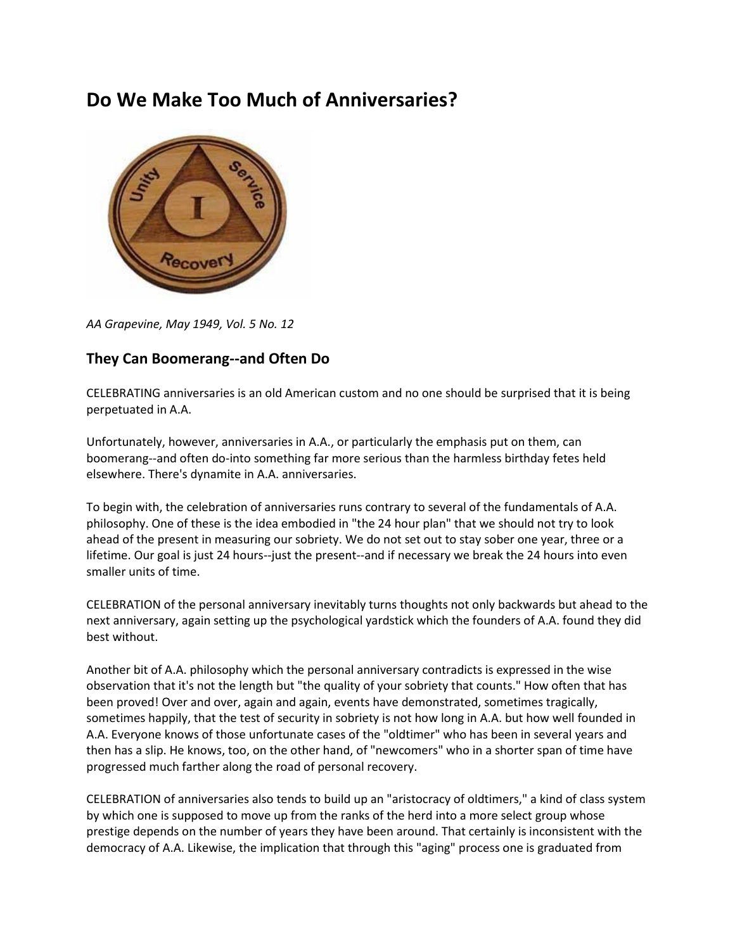## **Do We Make Too Much of Anniversaries?**



*AA Grapevine, May 1949, Vol. 5 No. 12*

## **They Can Boomerang--and Often Do**

CELEBRATING anniversaries is an old American custom and no one should be surprised that it is being perpetuated in A.A.

Unfortunately, however, anniversaries in A.A., or particularly the emphasis put on them, can boomerang--and often do-into something far more serious than the harmless birthday fetes held elsewhere. There's dynamite in A.A. anniversaries.

To begin with, the celebration of anniversaries runs contrary to several of the fundamentals of A.A. philosophy. One of these is the idea embodied in "the 24 hour plan" that we should not try to look ahead of the present in measuring our sobriety. We do not set out to stay sober one year, three or a lifetime. Our goal is just 24 hours--just the present--and if necessary we break the 24 hours into even smaller units of time.

CELEBRATION of the personal anniversary inevitably turns thoughts not only backwards but ahead to the next anniversary, again setting up the psychological yardstick which the founders of A.A. found they did best without.

Another bit of A.A. philosophy which the personal anniversary contradicts is expressed in the wise observation that it's not the length but "the quality of your sobriety that counts." How often that has been proved! Over and over, again and again, events have demonstrated, sometimes tragically, sometimes happily, that the test of security in sobriety is not how long in A.A. but how well founded in A.A. Everyone knows of those unfortunate cases of the "oldtimer" who has been in several years and then has a slip. He knows, too, on the other hand, of "newcomers" who in a shorter span of time have progressed much farther along the road of personal recovery.

CELEBRATION of anniversaries also tends to build up an "aristocracy of oldtimers," a kind of class system by which one is supposed to move up from the ranks of the herd into a more select group whose prestige depends on the number of years they have been around. That certainly is inconsistent with the democracy of A.A. Likewise, the implication that through this "aging" process one is graduated from